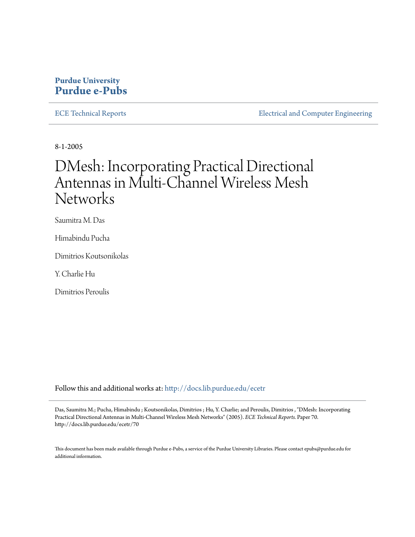# **Purdue University [Purdue e-Pubs](http://docs.lib.purdue.edu?utm_source=docs.lib.purdue.edu%2Fecetr%2F70&utm_medium=PDF&utm_campaign=PDFCoverPages)**

[ECE Technical Reports](http://docs.lib.purdue.edu/ecetr?utm_source=docs.lib.purdue.edu%2Fecetr%2F70&utm_medium=PDF&utm_campaign=PDFCoverPages) **[Electrical and Computer Engineering](http://docs.lib.purdue.edu/ece?utm_source=docs.lib.purdue.edu%2Fecetr%2F70&utm_medium=PDF&utm_campaign=PDFCoverPages)** 

8-1-2005

# DMesh: Incorporating Practical Directional Antennas in Multi-Channel Wireless Mesh **Networks**

Saumitra M. Das

Himabindu Pucha

Dimitrios Koutsonikolas

Y. Charlie Hu

Dimitrios Peroulis

Follow this and additional works at: [http://docs.lib.purdue.edu/ecetr](http://docs.lib.purdue.edu/ecetr?utm_source=docs.lib.purdue.edu%2Fecetr%2F70&utm_medium=PDF&utm_campaign=PDFCoverPages)

Das, Saumitra M.; Pucha, Himabindu ; Koutsonikolas, Dimitrios ; Hu, Y. Charlie; and Peroulis, Dimitrios , "DMesh: Incorporating Practical Directional Antennas in Multi-Channel Wireless Mesh Networks" (2005). *ECE Technical Reports.* Paper 70. http://docs.lib.purdue.edu/ecetr/70

This document has been made available through Purdue e-Pubs, a service of the Purdue University Libraries. Please contact epubs@purdue.edu for additional information.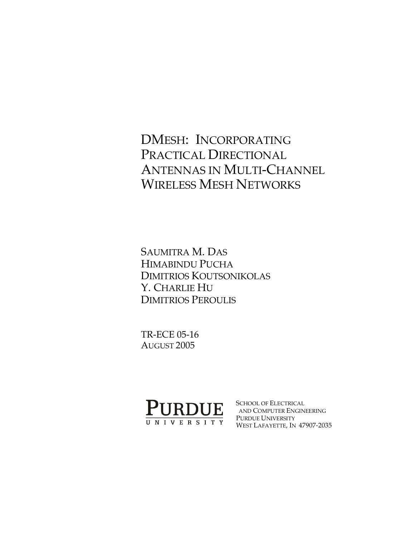# DMESH: INCORPORATING PRACTICAL DIRECTIONAL ANTENNAS IN MULTI-CHANNEL WIRELESS MESH NETWORKS

SAUMITRA M. DAS HIMABINDU PUCHA DIMITRIOS KOUTSONIKOLAS Y. CHARLIE HU DIMITRIOS PEROULIS

TR-ECE 05-16 AUGUST 2005



SCHOOL OF ELECTRICAL AND COMPUTER ENGINEERING PURDUE UNIVERSITY WEST LAFAYETTE, IN 47907-2035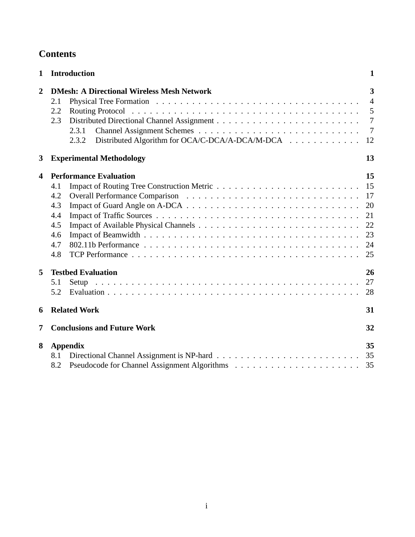| <b>Contents</b> |
|-----------------|
|-----------------|

| $\mathbf{1}$            | <b>Introduction</b>                                                                                                                         | $\mathbf{1}$                                       |  |  |  |  |  |  |
|-------------------------|---------------------------------------------------------------------------------------------------------------------------------------------|----------------------------------------------------|--|--|--|--|--|--|
| $\overline{2}$          | <b>DMesh: A Directional Wireless Mesh Network</b><br>2.1<br>2.2<br>2.3<br>2.3.1<br>Distributed Algorithm for OCA/C-DCA/A-DCA/M-DCA<br>2.3.2 |                                                    |  |  |  |  |  |  |
| 3                       | <b>Experimental Methodology</b>                                                                                                             | 13                                                 |  |  |  |  |  |  |
| $\overline{\mathbf{4}}$ | <b>Performance Evaluation</b><br>4.1<br>4.2<br>4.3<br>4.4<br>4.5<br>4.6<br>4.7<br>4.8                                                       | 15<br>15<br>17<br>20<br>21<br>22<br>23<br>24<br>25 |  |  |  |  |  |  |
| 5                       | <b>Testbed Evaluation</b><br>5.1<br>Setup<br>5.2                                                                                            | 26<br>27<br>28                                     |  |  |  |  |  |  |
| 6                       | <b>Related Work</b>                                                                                                                         | 31                                                 |  |  |  |  |  |  |
| 7                       | <b>Conclusions and Future Work</b><br>32                                                                                                    |                                                    |  |  |  |  |  |  |
| 8                       | <b>Appendix</b><br>8.1<br>8.2                                                                                                               | 35<br>35<br>35                                     |  |  |  |  |  |  |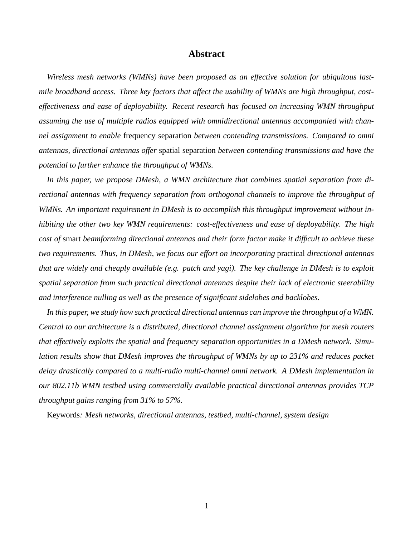# **Abstract**

*Wireless mesh networks (WMNs) have been proposed as an effective solution for ubiquitous lastmile broadband access. Three key factors that affect the usability of WMNs are high throughput, costeffectiveness and ease of deployability. Recent research has focused on increasing WMN throughput assuming the use of multiple radios equipped with omnidirectional antennas accompanied with channel assignment to enable* frequency separation *between contending transmissions. Compared to omni antennas, directional antennas offer* spatial separation *between contending transmissions and have the potential to further enhance the throughput of WMNs.*

*In this paper, we propose DMesh, a WMN architecture that combines spatial separation from directional antennas with frequency separation from orthogonal channels to improve the throughput of WMNs. An important requirement in DMesh is to accomplish this throughput improvement without inhibiting the other two key WMN requirements: cost-effectiveness and ease of deployability. The high cost of* smart *beamforming directional antennas and their form factor make it difficult to achieve these two requirements. Thus, in DMesh, we focus our effort on incorporating* practical *directional antennas* that are widely and cheaply available (e.g. patch and yagi). The key challenge in DMesh is to exploit *spatial separation from such practical directional antennas despite their lack of electronic steerability and interference nulling as well as the presence of significant sidelobes and backlobes.*

*In this paper, we study how such practical directional antennas can improve the throughput of a WMN. Central to our architecture is a distributed, directional channel assignment algorithm for mesh routers that effectively exploits the spatial and frequency separation opportunities in a DMesh network. Simulation results show that DMesh improves the throughput of WMNs by up to 231% and reduces packet delay drastically compared to a multi-radio multi-channel omni network. A DMesh implementation in our 802.11b WMN testbed using commercially available practical directional antennas provides TCP throughput gains ranging from 31% to 57%.*

Keywords*: Mesh networks, directional antennas, testbed, multi-channel, system design*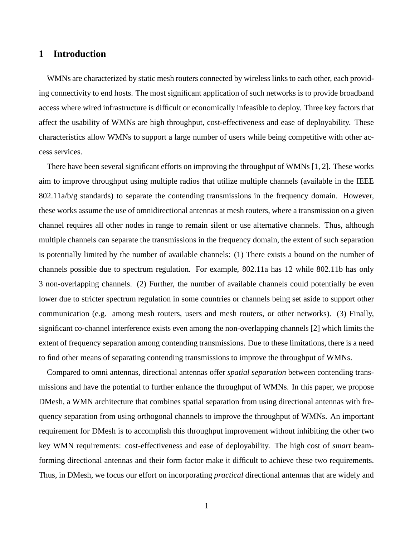# **1 Introduction**

WMNs are characterized by static mesh routers connected by wireless links to each other, each providing connectivity to end hosts. The most significant application of such networks is to provide broadband access where wired infrastructure is difficult or economically infeasible to deploy. Three key factors that affect the usability of WMNs are high throughput, cost-effectiveness and ease of deployability. These characteristics allow WMNs to support a large number of users while being competitive with other access services.

There have been several significant efforts on improving the throughput of WMNs [1, 2]. These works aim to improve throughput using multiple radios that utilize multiple channels (available in the IEEE 802.11a/b/g standards) to separate the contending transmissions in the frequency domain. However, these works assume the use of omnidirectional antennas at mesh routers, where a transmission on a given channel requires all other nodes in range to remain silent or use alternative channels. Thus, although multiple channels can separate the transmissions in the frequency domain, the extent of such separation is potentially limited by the number of available channels: (1) There exists a bound on the number of channels possible due to spectrum regulation. For example, 802.11a has 12 while 802.11b has only 3 non-overlapping channels. (2) Further, the number of available channels could potentially be even lower due to stricter spectrum regulation in some countries or channels being set aside to support other communication (e.g. among mesh routers, users and mesh routers, or other networks). (3) Finally, significant co-channel interference exists even among the non-overlapping channels [2] which limits the extent of frequency separation among contending transmissions. Due to these limitations, there is a need to find other means of separating contending transmissions to improve the throughput of WMNs.

Compared to omni antennas, directional antennas offer *spatial separation* between contending transmissions and have the potential to further enhance the throughput of WMNs. In this paper, we propose DMesh, a WMN architecture that combines spatial separation from using directional antennas with frequency separation from using orthogonal channels to improve the throughput of WMNs. An important requirement for DMesh is to accomplish this throughput improvement without inhibiting the other two key WMN requirements: cost-effectiveness and ease of deployability. The high cost of *smart* beamforming directional antennas and their form factor make it difficult to achieve these two requirements. Thus, in DMesh, we focus our effort on incorporating *practical* directional antennas that are widely and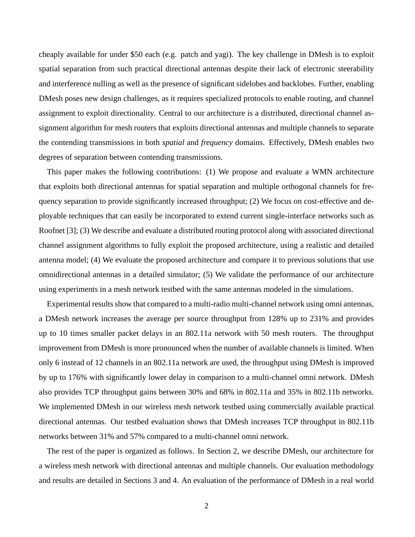cheaply available for under \$50 each (e.g. patch and yagi). The key challenge in DMesh is to exploit spatial separation from such practical directional antennas despite their lack of electronic steerability and interference nulling as well as the presence of significant sidelobes and backlobes. Further, enabling DMesh poses new design challenges, as it requires specialized protocols to enable routing, and channel assignment to exploit directionality. Central to our architecture is a distributed, directional channel assignment algorithm for mesh routers that exploits directional antennas and multiple channels to separate the contending transmissions in both *spatial* and *frequency* domains. Effectively, DMesh enables two degrees of separation between contending transmissions.

This paper makes the following contributions: (1) We propose and evaluate a WMN architecture that exploits both directional antennas for spatial separation and multiple orthogonal channels for frequency separation to provide significantly increased throughput; (2) We focus on cost-effective and deployable techniques that can easily be incorporated to extend current single-interface networks such as Roofnet [3]; (3) We describe and evaluate a distributed routing protocol along with associated directional channel assignment algorithms to fully exploit the proposed architecture, using a realistic and detailed antenna model; (4) We evaluate the proposed architecture and compare it to previous solutions that use omnidirectional antennas in a detailed simulator; (5) We validate the performance of our architecture using experiments in a mesh network testbed with the same antennas modeled in the simulations.

Experimental results show that compared to a multi-radio multi-channel network using omni antennas, a DMesh network increases the average per source throughput from 128% up to 231% and provides up to 10 times smaller packet delays in an 802.11a network with 50 mesh routers. The throughput improvement from DMesh is more pronounced when the number of available channels is limited. When only 6 instead of 12 channels in an 802.11a network are used, the throughput using DMesh is improved by up to 176% with significantly lower delay in comparison to a multi-channel omni network. DMesh also provides TCP throughput gains between 30% and 68% in 802.11a and 35% in 802.11b networks. We implemented DMesh in our wireless mesh network testbed using commercially available practical directional antennas. Our testbed evaluation shows that DMesh increases TCP throughput in 802.11b networks between 31% and 57% compared to a multi-channel omni network.

The rest of the paper is organized as follows. In Section 2, we describe DMesh, our architecture for a wireless mesh network with directional antennas and multiple channels. Our evaluation methodology and results are detailed in Sections 3 and 4. An evaluation of the performance of DMesh in a real world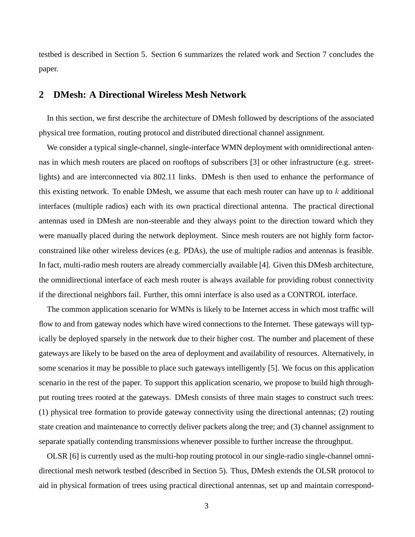testbed is described in Section 5. Section 6 summarizes the related work and Section 7 concludes the paper.

# **2 DMesh: A Directional Wireless Mesh Network**

In this section, we first describe the architecture of DMesh followed by descriptions of the associated physical tree formation, routing protocol and distributed directional channel assignment.

We consider a typical single-channel, single-interface WMN deployment with omnidirectional antennas in which mesh routers are placed on rooftops of subscribers [3] or other infrastructure (e.g. streetlights) and are interconnected via 802.11 links. DMesh is then used to enhance the performance of this existing network. To enable DMesh, we assume that each mesh router can have up to  $k$  additional interfaces (multiple radios) each with its own practical directional antenna. The practical directional antennas used in DMesh are non-steerable and they always point to the direction toward which they were manually placed during the network deployment. Since mesh routers are not highly form factorconstrained like other wireless devices (e.g. PDAs), the use of multiple radios and antennas is feasible. In fact, multi-radio mesh routers are already commercially available [4]. Given this DMesh architecture, the omnidirectional interface of each mesh router is always available for providing robust connectivity if the directional neighbors fail. Further, this omni interface is also used as a CONTROL interface.

The common application scenario for WMNs is likely to be Internet access in which most traffic will flow to and from gateway nodes which have wired connections to the Internet. These gateways will typically be deployed sparsely in the network due to their higher cost. The number and placement of these gateways are likely to be based on the area of deployment and availability of resources. Alternatively, in some scenarios it may be possible to place such gateways intelligently [5]. We focus on this application scenario in the rest of the paper. To support this application scenario, we propose to build high throughput routing trees rooted at the gateways. DMesh consists of three main stages to construct such trees: (1) physical tree formation to provide gateway connectivity using the directional antennas; (2) routing state creation and maintenance to correctly deliver packets along the tree; and (3) channel assignment to separate spatially contending transmissions whenever possible to further increase the throughput.

OLSR [6] is currently used as the multi-hop routing protocol in our single-radio single-channel omnidirectional mesh network testbed (described in Section 5). Thus, DMesh extends the OLSR protocol to aid in physical formation of trees using practical directional antennas, set up and maintain correspond-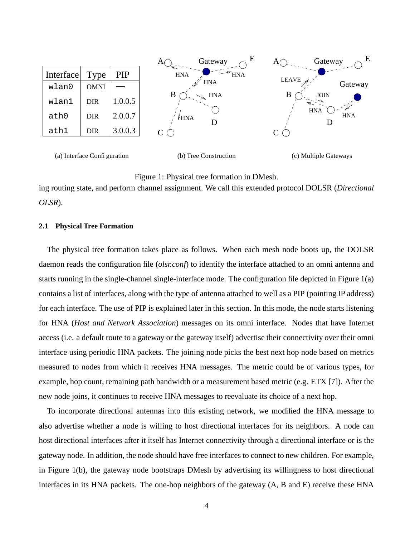

(a) Interface Configuration

(b) Tree Construction

(c) Multiple Gateways

## Figure 1: Physical tree formation in DMesh.

ing routing state, and perform channel assignment. We call this extended protocol DOLSR (*Directional OLSR*).

### **2.1 Physical Tree Formation**

The physical tree formation takes place as follows. When each mesh node boots up, the DOLSR daemon reads the configuration file (*olsr.conf*) to identify the interface attached to an omni antenna and starts running in the single-channel single-interface mode. The configuration file depicted in Figure 1(a) contains a list of interfaces, along with the type of antenna attached to well as a PIP (pointing IP address) for each interface. The use of PIP is explained later in this section. In this mode, the node starts listening for HNA (*Host and Network Association*) messages on its omni interface. Nodes that have Internet access (i.e. a default route to a gateway or the gateway itself) advertise their connectivity over their omni interface using periodic HNA packets. The joining node picks the best next hop node based on metrics measured to nodes from which it receives HNA messages. The metric could be of various types, for example, hop count, remaining path bandwidth or a measurement based metric (e.g. ETX [7]). After the new node joins, it continues to receive HNA messages to reevaluate its choice of a next hop.

To incorporate directional antennas into this existing network, we modified the HNA message to also advertise whether a node is willing to host directional interfaces for its neighbors. A node can host directional interfaces after it itself has Internet connectivity through a directional interface or is the gateway node. In addition, the node should have free interfaces to connect to new children. For example, in Figure 1(b), the gateway node bootstraps DMesh by advertising its willingness to host directional interfaces in its HNA packets. The one-hop neighbors of the gateway (A, B and E) receive these HNA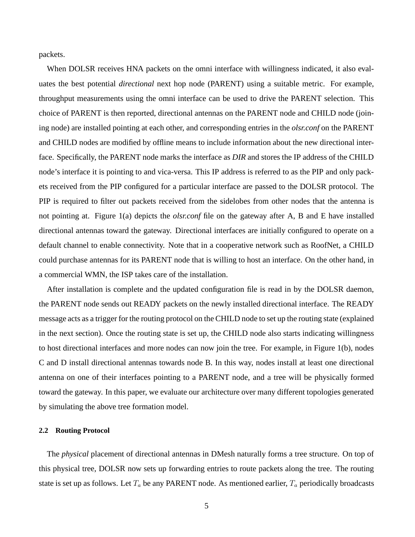packets.

When DOLSR receives HNA packets on the omni interface with willingness indicated, it also evaluates the best potential *directional* next hop node (PARENT) using a suitable metric. For example, throughput measurements using the omni interface can be used to drive the PARENT selection. This choice of PARENT is then reported, directional antennas on the PARENT node and CHILD node (joining node) are installed pointing at each other, and corresponding entries in the *olsr.conf* on the PARENT and CHILD nodes are modified by offline means to include information about the new directional interface. Specifically, the PARENT node marks the interface as *DIR* and stores the IP address of the CHILD node's interface it is pointing to and vica-versa. This IP address is referred to as the PIP and only packets received from the PIP configured for a particular interface are passed to the DOLSR protocol. The PIP is required to filter out packets received from the sidelobes from other nodes that the antenna is not pointing at. Figure 1(a) depicts the *olsr.conf* file on the gateway after A, B and E have installed directional antennas toward the gateway. Directional interfaces are initially configured to operate on a default channel to enable connectivity. Note that in a cooperative network such as RoofNet, a CHILD could purchase antennas for its PARENT node that is willing to host an interface. On the other hand, in a commercial WMN, the ISP takes care of the installation.

After installation is complete and the updated configuration file is read in by the DOLSR daemon, the PARENT node sends out READY packets on the newly installed directional interface. The READY message acts as a trigger for the routing protocol on the CHILD node to set up the routing state (explained in the next section). Once the routing state is set up, the CHILD node also starts indicating willingness to host directional interfaces and more nodes can now join the tree. For example, in Figure 1(b), nodes C and D install directional antennas towards node B. In this way, nodes install at least one directional antenna on one of their interfaces pointing to a PARENT node, and a tree will be physically formed toward the gateway. In this paper, we evaluate our architecture over many different topologies generated by simulating the above tree formation model.

#### **2.2 Routing Protocol**

The *physical* placement of directional antennas in DMesh naturally forms a tree structure. On top of this physical tree, DOLSR now sets up forwarding entries to route packets along the tree. The routing state is set up as follows. Let  $T_a$  be any PARENT node. As mentioned earlier,  $T_a$  periodically broadcasts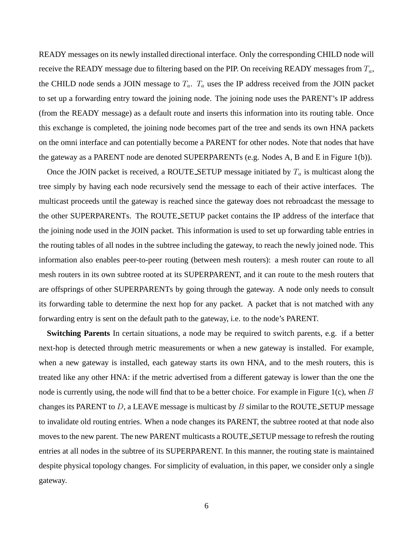READY messages on its newly installed directional interface. Only the corresponding CHILD node will receive the READY message due to filtering based on the PIP. On receiving READY messages from  $T_a$ , the CHILD node sends a JOIN message to  $T_a$ .  $T_a$  uses the IP address received from the JOIN packet to set up a forwarding entry toward the joining node. The joining node uses the PARENT's IP address (from the READY message) as a default route and inserts this information into its routing table. Once this exchange is completed, the joining node becomes part of the tree and sends its own HNA packets on the omni interface and can potentially become a PARENT for other nodes. Note that nodes that have the gateway as a PARENT node are denoted SUPERPARENTs (e.g. Nodes A, B and E in Figure 1(b)).

Once the JOIN packet is received, a ROUTE SETUP message initiated by  $T_a$  is multicast along the tree simply by having each node recursively send the message to each of their active interfaces. The multicast proceeds until the gateway is reached since the gateway does not rebroadcast the message to the other SUPERPARENTs. The ROUTE SETUP packet contains the IP address of the interface that the joining node used in the JOIN packet. This information is used to set up forwarding table entries in the routing tables of all nodes in the subtree including the gateway, to reach the newly joined node. This information also enables peer-to-peer routing (between mesh routers): a mesh router can route to all mesh routers in its own subtree rooted at its SUPERPARENT, and it can route to the mesh routers that are offsprings of other SUPERPARENTs by going through the gateway. A node only needs to consult its forwarding table to determine the next hop for any packet. A packet that is not matched with any forwarding entry is sent on the default path to the gateway, i.e. to the node's PARENT.

**Switching Parents** In certain situations, a node may be required to switch parents, e.g. if a better next-hop is detected through metric measurements or when a new gateway is installed. For example, when a new gateway is installed, each gateway starts its own HNA, and to the mesh routers, this is treated like any other HNA: if the metric advertised from a different gateway is lower than the one the node is currently using, the node will find that to be a better choice. For example in Figure 1(c), when  $B$ changes its PARENT to  $D$ , a LEAVE message is multicast by  $B$  similar to the ROUTE SETUP message to invalidate old routing entries. When a node changes its PARENT, the subtree rooted at that node also moves to the new parent. The new PARENT multicasts a ROUTE SETUP message to refresh the routing entries at all nodes in the subtree of its SUPERPARENT. In this manner, the routing state is maintained despite physical topology changes. For simplicity of evaluation, in this paper, we consider only a single gateway.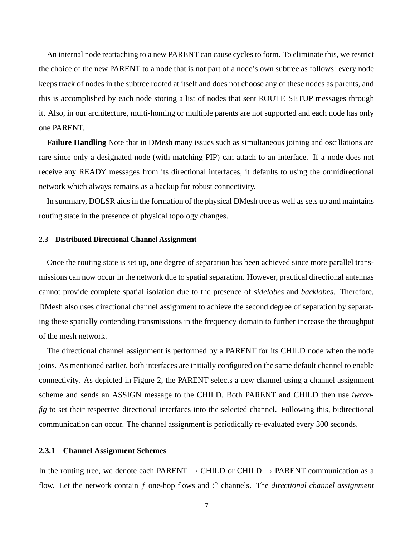An internal node reattaching to a new PARENT can cause cycles to form. To eliminate this, we restrict the choice of the new PARENT to a node that is not part of a node's own subtree as follows: every node keeps track of nodes in the subtree rooted at itself and does not choose any of these nodes as parents, and this is accomplished by each node storing a list of nodes that sent ROUTE SETUP messages through it. Also, in our architecture, multi-homing or multiple parents are not supported and each node has only one PARENT.

**Failure Handling** Note that in DMesh many issues such as simultaneous joining and oscillations are rare since only a designated node (with matching PIP) can attach to an interface. If a node does not receive any READY messages from its directional interfaces, it defaults to using the omnidirectional network which always remains as a backup for robust connectivity.

In summary, DOLSR aids in the formation of the physical DMesh tree as well as sets up and maintains routing state in the presence of physical topology changes.

#### **2.3 Distributed Directional Channel Assignment**

Once the routing state is set up, one degree of separation has been achieved since more parallel transmissions can now occur in the network due to spatial separation. However, practical directional antennas cannot provide complete spatial isolation due to the presence of *sidelobes* and *backlobes*. Therefore, DMesh also uses directional channel assignment to achieve the second degree of separation by separating these spatially contending transmissions in the frequency domain to further increase the throughput of the mesh network.

The directional channel assignment is performed by a PARENT for its CHILD node when the node joins. As mentioned earlier, both interfaces are initially configured on the same default channel to enable connectivity. As depicted in Figure 2, the PARENT selects a new channel using a channel assignment scheme and sends an ASSIGN message to the CHILD. Both PARENT and CHILD then use *iwconfig* to set their respective directional interfaces into the selected channel. Following this, bidirectional communication can occur. The channel assignment is periodically re-evaluated every 300 seconds.

## **2.3.1 Channel Assignment Schemes**

In the routing tree, we denote each PARENT  $\rightarrow$  CHILD or CHILD  $\rightarrow$  PARENT communication as a flow. Let the network contain f one-hop flows and C channels. The *directional channel assignment*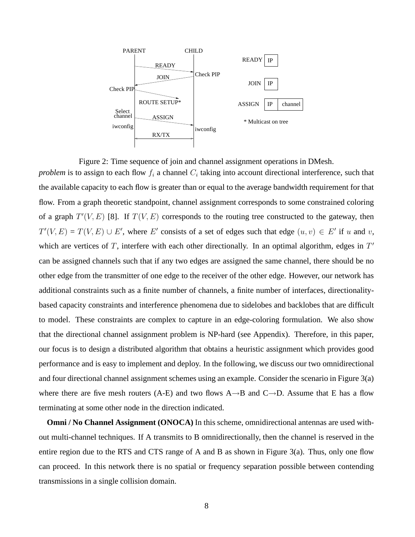

Figure 2: Time sequence of join and channel assignment operations in DMesh. *problem* is to assign to each flow  $f_i$  a channel  $C_i$  taking into account directional interference, such that the available capacity to each flow is greater than or equal to the average bandwidth requirement for that flow. From a graph theoretic standpoint, channel assignment corresponds to some constrained coloring of a graph  $T'(V, E)$  [8]. If  $T(V, E)$  corresponds to the routing tree constructed to the gateway, then  $T'(V, E) = T(V, E) \cup E'$ , where E' consists of a set of edges such that edge  $(u, v) \in E'$  if u and v, which are vertices of  $T$ , interfere with each other directionally. In an optimal algorithm, edges in  $T'$ can be assigned channels such that if any two edges are assigned the same channel, there should be no other edge from the transmitter of one edge to the receiver of the other edge. However, our network has additional constraints such as a finite number of channels, a finite number of interfaces, directionalitybased capacity constraints and interference phenomena due to sidelobes and backlobes that are difficult to model. These constraints are complex to capture in an edge-coloring formulation. We also show that the directional channel assignment problem is NP-hard (see Appendix). Therefore, in this paper, our focus is to design a distributed algorithm that obtains a heuristic assignment which provides good performance and is easy to implement and deploy. In the following, we discuss our two omnidirectional and four directional channel assignment schemes using an example. Consider the scenario in Figure 3(a) where there are five mesh routers (A-E) and two flows  $A \rightarrow B$  and  $C \rightarrow D$ . Assume that E has a flow terminating at some other node in the direction indicated.

**Omni / No Channel Assignment (ONOCA)** In this scheme, omnidirectional antennas are used without multi-channel techniques. If A transmits to B omnidirectionally, then the channel is reserved in the entire region due to the RTS and CTS range of A and B as shown in Figure 3(a). Thus, only one flow can proceed. In this network there is no spatial or frequency separation possible between contending transmissions in a single collision domain.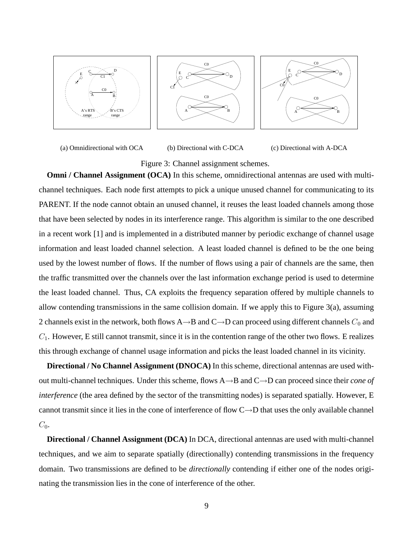





(a) Omnidirectional with OCA

(b) Directional with C-DCA

(c) Directional with A-DCA

Figure 3: Channel assignment schemes.

**Omni / Channel Assignment (OCA)** In this scheme, omnidirectional antennas are used with multichannel techniques. Each node first attempts to pick a unique unused channel for communicating to its PARENT. If the node cannot obtain an unused channel, it reuses the least loaded channels among those that have been selected by nodes in its interference range. This algorithm is similar to the one described in a recent work [1] and is implemented in a distributed manner by periodic exchange of channel usage information and least loaded channel selection. A least loaded channel is defined to be the one being used by the lowest number of flows. If the number of flows using a pair of channels are the same, then the traffic transmitted over the channels over the last information exchange period is used to determine the least loaded channel. Thus, CA exploits the frequency separation offered by multiple channels to allow contending transmissions in the same collision domain. If we apply this to Figure 3(a), assuming 2 channels exist in the network, both flows A $\rightarrow$ B and C $\rightarrow$ D can proceed using different channels  $C_0$  and  $C_1$ . However, E still cannot transmit, since it is in the contention range of the other two flows. E realizes this through exchange of channel usage information and picks the least loaded channel in its vicinity.

**Directional / No Channel Assignment (DNOCA)** In thisscheme, directional antennas are used without multi-channel techniques. Under this scheme, flows A→B and C→D can proceed since their *cone of interference* (the area defined by the sector of the transmitting nodes) is separated spatially. However, E cannot transmit since it lies in the cone of interference of flow  $C \rightarrow D$  that uses the only available channel  $C_0$ .

**Directional / Channel Assignment (DCA)** In DCA, directional antennas are used with multi-channel techniques, and we aim to separate spatially (directionally) contending transmissions in the frequency domain. Two transmissions are defined to be *directionally* contending if either one of the nodes originating the transmission lies in the cone of interference of the other.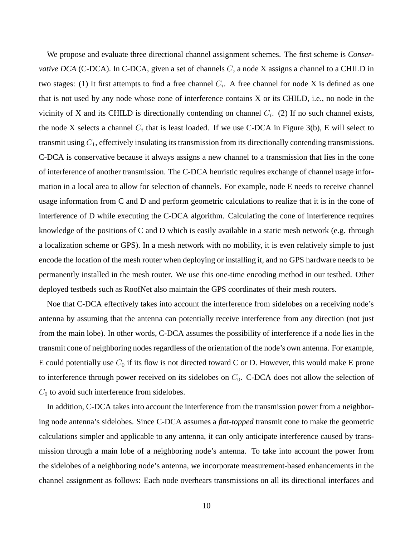We propose and evaluate three directional channel assignment schemes. The first scheme is *Conservative DCA* (C-DCA). In C-DCA, given a set of channels C, a node X assigns a channel to a CHILD in two stages: (1) It first attempts to find a free channel  $C_i$ . A free channel for node X is defined as one that is not used by any node whose cone of interference contains X or its CHILD, i.e., no node in the vicinity of X and its CHILD is directionally contending on channel  $C_i$ . (2) If no such channel exists, the node X selects a channel  $C_i$  that is least loaded. If we use C-DCA in Figure 3(b), E will select to transmit using  $C_1$ , effectively insulating its transmission from its directionally contending transmissions. C-DCA is conservative because it always assigns a new channel to a transmission that lies in the cone of interference of another transmission. The C-DCA heuristic requires exchange of channel usage information in a local area to allow for selection of channels. For example, node E needs to receive channel usage information from C and D and perform geometric calculations to realize that it is in the cone of interference of D while executing the C-DCA algorithm. Calculating the cone of interference requires knowledge of the positions of C and D which is easily available in a static mesh network (e.g. through a localization scheme or GPS). In a mesh network with no mobility, it is even relatively simple to just encode the location of the mesh router when deploying or installing it, and no GPS hardware needs to be permanently installed in the mesh router. We use this one-time encoding method in our testbed. Other deployed testbeds such as RoofNet also maintain the GPS coordinates of their mesh routers.

Noe that C-DCA effectively takes into account the interference from sidelobes on a receiving node's antenna by assuming that the antenna can potentially receive interference from any direction (not just from the main lobe). In other words, C-DCA assumes the possibility of interference if a node lies in the transmit cone of neighboring nodes regardless of the orientation of the node's own antenna. For example, E could potentially use  $C_0$  if its flow is not directed toward C or D. However, this would make E prone to interference through power received on its sidelobes on  $C_0$ . C-DCA does not allow the selection of  $C_0$  to avoid such interference from sidelobes.

In addition, C-DCA takes into account the interference from the transmission power from a neighboring node antenna's sidelobes. Since C-DCA assumes a *flat-topped* transmit cone to make the geometric calculations simpler and applicable to any antenna, it can only anticipate interference caused by transmission through a main lobe of a neighboring node's antenna. To take into account the power from the sidelobes of a neighboring node's antenna, we incorporate measurement-based enhancements in the channel assignment as follows: Each node overhears transmissions on all its directional interfaces and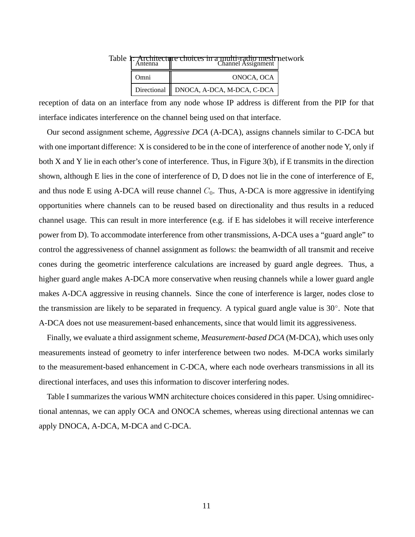|      | Table <b>F:</b> Architecture choices in a multi-radio mesh network |  |
|------|--------------------------------------------------------------------|--|
| Omni | ONOCA, OCA                                                         |  |
|      | Directional    DNOCA, A-DCA, M-DCA, C-DCA                          |  |

reception of data on an interface from any node whose IP address is different from the PIP for that interface indicates interference on the channel being used on that interface.

Our second assignment scheme, *Aggressive DCA* (A-DCA), assigns channels similar to C-DCA but with one important difference: X is considered to be in the cone of interference of another node Y, only if both X and Y lie in each other's cone of interference. Thus, in Figure 3(b), if E transmits in the direction shown, although E lies in the cone of interference of D, D does not lie in the cone of interference of E, and thus node E using A-DCA will reuse channel  $C_0$ . Thus, A-DCA is more aggressive in identifying opportunities where channels can to be reused based on directionality and thus results in a reduced channel usage. This can result in more interference (e.g. if E has sidelobes it will receive interference power from D). To accommodate interference from other transmissions, A-DCA uses a "guard angle" to control the aggressiveness of channel assignment as follows: the beamwidth of all transmit and receive cones during the geometric interference calculations are increased by guard angle degrees. Thus, a higher guard angle makes A-DCA more conservative when reusing channels while a lower guard angle makes A-DCA aggressive in reusing channels. Since the cone of interference is larger, nodes close to the transmission are likely to be separated in frequency. A typical guard angle value is 30°. Note that A-DCA does not use measurement-based enhancements, since that would limit its aggressiveness.

Finally, we evaluate a third assignment scheme, *Measurement-based DCA* (M-DCA), which uses only measurements instead of geometry to infer interference between two nodes. M-DCA works similarly to the measurement-based enhancement in C-DCA, where each node overhears transmissions in all its directional interfaces, and uses this information to discover interfering nodes.

Table I summarizes the various WMN architecture choices considered in this paper. Using omnidirectional antennas, we can apply OCA and ONOCA schemes, whereas using directional antennas we can apply DNOCA, A-DCA, M-DCA and C-DCA.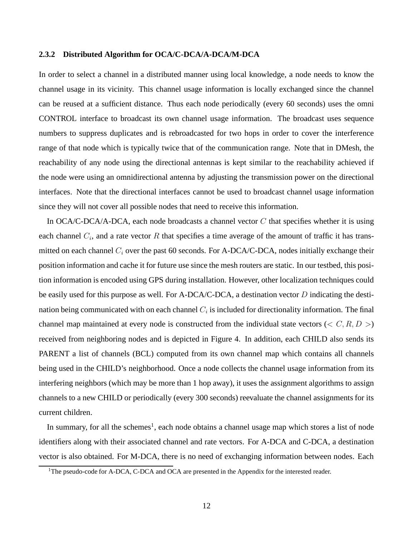## **2.3.2 Distributed Algorithm for OCA/C-DCA/A-DCA/M-DCA**

In order to select a channel in a distributed manner using local knowledge, a node needs to know the channel usage in its vicinity. This channel usage information is locally exchanged since the channel can be reused at a sufficient distance. Thus each node periodically (every 60 seconds) uses the omni CONTROL interface to broadcast its own channel usage information. The broadcast uses sequence numbers to suppress duplicates and is rebroadcasted for two hops in order to cover the interference range of that node which is typically twice that of the communication range. Note that in DMesh, the reachability of any node using the directional antennas is kept similar to the reachability achieved if the node were using an omnidirectional antenna by adjusting the transmission power on the directional interfaces. Note that the directional interfaces cannot be used to broadcast channel usage information since they will not cover all possible nodes that need to receive this information.

In OCA/C-DCA/A-DCA, each node broadcasts a channel vector  $C$  that specifies whether it is using each channel  $C_i$ , and a rate vector R that specifies a time average of the amount of traffic it has transmitted on each channel  $C_i$  over the past 60 seconds. For A-DCA/C-DCA, nodes initially exchange their position information and cache it for future use since the mesh routers are static. In our testbed, this position information is encoded using GPS during installation. However, other localization techniques could be easily used for this purpose as well. For A-DCA/C-DCA, a destination vector D indicating the destination being communicated with on each channel  $C_i$  is included for directionality information. The final channel map maintained at every node is constructed from the individual state vectors ( $\lt C, R, D \gt$ ) received from neighboring nodes and is depicted in Figure 4. In addition, each CHILD also sends its PARENT a list of channels (BCL) computed from its own channel map which contains all channels being used in the CHILD's neighborhood. Once a node collects the channel usage information from its interfering neighbors (which may be more than 1 hop away), it uses the assignment algorithms to assign channels to a new CHILD or periodically (every 300 seconds) reevaluate the channel assignments for its current children.

In summary, for all the schemes<sup>1</sup>, each node obtains a channel usage map which stores a list of node identifiers along with their associated channel and rate vectors. For A-DCA and C-DCA, a destination vector is also obtained. For M-DCA, there is no need of exchanging information between nodes. Each

<sup>&</sup>lt;sup>1</sup>The pseudo-code for A-DCA, C-DCA and OCA are presented in the Appendix for the interested reader.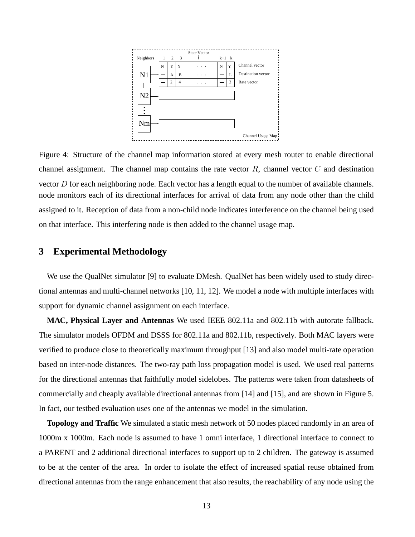

Figure 4: Structure of the channel map information stored at every mesh router to enable directional channel assignment. The channel map contains the rate vector  $R$ , channel vector  $C$  and destination vector D for each neighboring node. Each vector has a length equal to the number of available channels. node monitors each of its directional interfaces for arrival of data from any node other than the child assigned to it. Reception of data from a non-child node indicates interference on the channel being used on that interface. This interfering node is then added to the channel usage map.

# **3 Experimental Methodology**

We use the QualNet simulator [9] to evaluate DMesh. QualNet has been widely used to study directional antennas and multi-channel networks [10, 11, 12]. We model a node with multiple interfaces with support for dynamic channel assignment on each interface.

**MAC, Physical Layer and Antennas** We used IEEE 802.11a and 802.11b with autorate fallback. The simulator models OFDM and DSSS for 802.11a and 802.11b, respectively. Both MAC layers were verified to produce close to theoretically maximum throughput [13] and also model multi-rate operation based on inter-node distances. The two-ray path loss propagation model is used. We used real patterns for the directional antennas that faithfully model sidelobes. The patterns were taken from datasheets of commercially and cheaply available directional antennas from [14] and [15], and are shown in Figure 5. In fact, our testbed evaluation uses one of the antennas we model in the simulation.

**Topology and Traffic** We simulated a static mesh network of 50 nodes placed randomly in an area of 1000m x 1000m. Each node is assumed to have 1 omni interface, 1 directional interface to connect to a PARENT and 2 additional directional interfaces to support up to 2 children. The gateway is assumed to be at the center of the area. In order to isolate the effect of increased spatial reuse obtained from directional antennas from the range enhancement that also results, the reachability of any node using the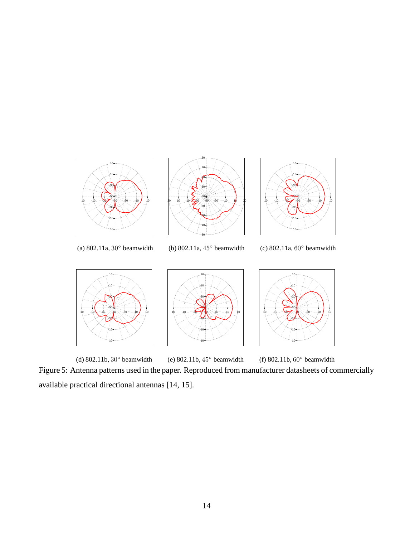

(d) 802.11b, 30◦ beamwidth (e) 802.11b, 45◦ beamwidth (f) 802.11b, 60◦ beamwidth Figure 5: Antenna patterns used in the paper. Reproduced from manufacturer datasheets of commercially available practical directional antennas [14, 15].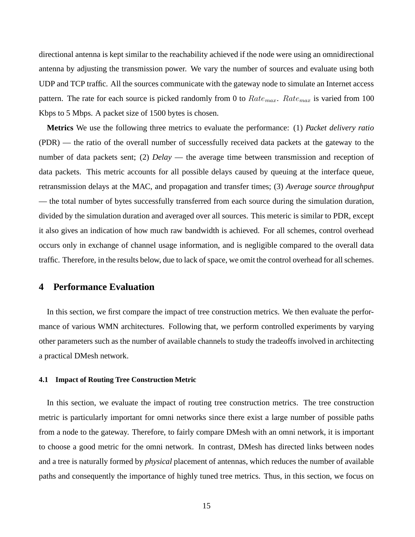directional antenna is kept similar to the reachability achieved if the node were using an omnidirectional antenna by adjusting the transmission power. We vary the number of sources and evaluate using both UDP and TCP traffic. All the sources communicate with the gateway node to simulate an Internet access pattern. The rate for each source is picked randomly from 0 to  $Rate_{max}$ .  $Rate_{max}$  is varied from 100 Kbps to 5 Mbps. A packet size of 1500 bytes is chosen.

**Metrics** We use the following three metrics to evaluate the performance: (1) *Packet delivery ratio* (PDR) — the ratio of the overall number of successfully received data packets at the gateway to the number of data packets sent; (2) *Delay* — the average time between transmission and reception of data packets. This metric accounts for all possible delays caused by queuing at the interface queue, retransmission delays at the MAC, and propagation and transfer times; (3) *Average source throughput* — the total number of bytes successfully transferred from each source during the simulation duration, divided by the simulation duration and averaged over all sources. This meteric is similar to PDR, except it also gives an indication of how much raw bandwidth is achieved. For all schemes, control overhead occurs only in exchange of channel usage information, and is negligible compared to the overall data traffic. Therefore, in the results below, due to lack of space, we omit the control overhead for allschemes.

# **4 Performance Evaluation**

In this section, we first compare the impact of tree construction metrics. We then evaluate the performance of various WMN architectures. Following that, we perform controlled experiments by varying other parameters such as the number of available channels to study the tradeoffs involved in architecting a practical DMesh network.

#### **4.1 Impact of Routing Tree Construction Metric**

In this section, we evaluate the impact of routing tree construction metrics. The tree construction metric is particularly important for omni networks since there exist a large number of possible paths from a node to the gateway. Therefore, to fairly compare DMesh with an omni network, it is important to choose a good metric for the omni network. In contrast, DMesh has directed links between nodes and a tree is naturally formed by *physical* placement of antennas, which reduces the number of available paths and consequently the importance of highly tuned tree metrics. Thus, in this section, we focus on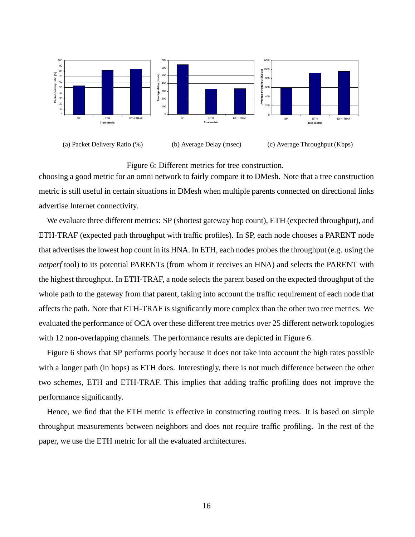

## Figure 6: Different metrics for tree construction.

choosing a good metric for an omni network to fairly compare it to DMesh. Note that a tree construction metric is still useful in certain situations in DMesh when multiple parents connected on directional links advertise Internet connectivity.

We evaluate three different metrics: SP (shortest gateway hop count), ETH (expected throughput), and ETH-TRAF (expected path throughput with traffic profiles). In SP, each node chooses a PARENT node that advertisesthe lowest hop count in its HNA. In ETH, each nodes probes the throughput (e.g. using the *netperf* tool) to its potential PARENTs (from whom it receives an HNA) and selects the PARENT with the highest throughput. In ETH-TRAF, a node selects the parent based on the expected throughput of the whole path to the gateway from that parent, taking into account the traffic requirement of each node that affects the path. Note that ETH-TRAF is significantly more complex than the other two tree metrics. We evaluated the performance of OCA over these different tree metrics over 25 different network topologies with 12 non-overlapping channels. The performance results are depicted in Figure 6.

Figure 6 shows that SP performs poorly because it does not take into account the high rates possible with a longer path (in hops) as ETH does. Interestingly, there is not much difference between the other two schemes, ETH and ETH-TRAF. This implies that adding traffic profiling does not improve the performance significantly.

Hence, we find that the ETH metric is effective in constructing routing trees. It is based on simple throughput measurements between neighbors and does not require traffic profiling. In the rest of the paper, we use the ETH metric for all the evaluated architectures.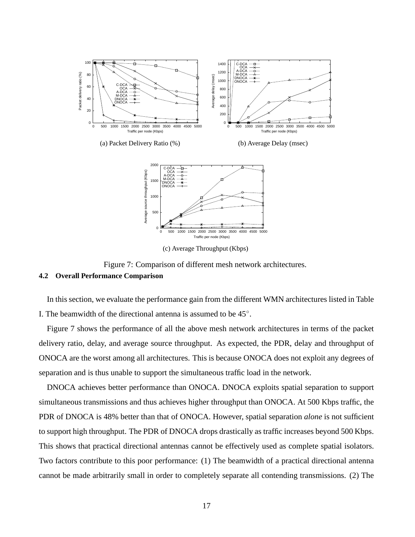

(c) Average Throughput (Kbps)

Figure 7: Comparison of different mesh network architectures.

## **4.2 Overall Performance Comparison**

In this section, we evaluate the performance gain from the different WMN architectures listed in Table I. The beamwidth of the directional antenna is assumed to be  $45^\circ$ .

Figure 7 shows the performance of all the above mesh network architectures in terms of the packet delivery ratio, delay, and average source throughput. As expected, the PDR, delay and throughput of ONOCA are the worst among all architectures. This is because ONOCA does not exploit any degrees of separation and is thus unable to support the simultaneous traffic load in the network.

DNOCA achieves better performance than ONOCA. DNOCA exploits spatial separation to support simultaneous transmissions and thus achieves higher throughput than ONOCA. At 500 Kbps traffic, the PDR of DNOCA is 48% better than that of ONOCA. However, spatial separation *alone* is not sufficient to support high throughput. The PDR of DNOCA drops drastically as traffic increases beyond 500 Kbps. This shows that practical directional antennas cannot be effectively used as complete spatial isolators. Two factors contribute to this poor performance: (1) The beamwidth of a practical directional antenna cannot be made arbitrarily small in order to completely separate all contending transmissions. (2) The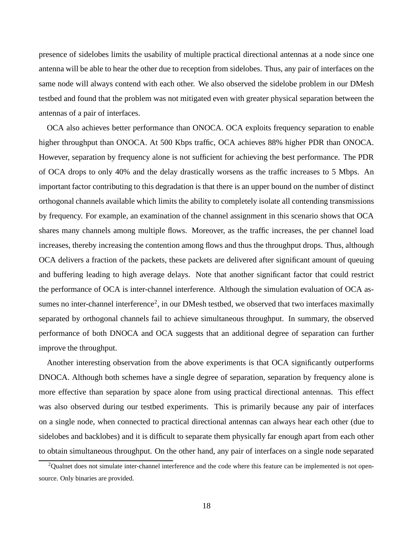presence of sidelobes limits the usability of multiple practical directional antennas at a node since one antenna will be able to hear the other due to reception from sidelobes. Thus, any pair of interfaces on the same node will always contend with each other. We also observed the sidelobe problem in our DMesh testbed and found that the problem was not mitigated even with greater physical separation between the antennas of a pair of interfaces.

OCA also achieves better performance than ONOCA. OCA exploits frequency separation to enable higher throughput than ONOCA. At 500 Kbps traffic, OCA achieves 88% higher PDR than ONOCA. However, separation by frequency alone is not sufficient for achieving the best performance. The PDR of OCA drops to only 40% and the delay drastically worsens as the traffic increases to 5 Mbps. An important factor contributing to this degradation is that there is an upper bound on the number of distinct orthogonal channels available which limits the ability to completely isolate all contending transmissions by frequency. For example, an examination of the channel assignment in this scenario shows that OCA shares many channels among multiple flows. Moreover, as the traffic increases, the per channel load increases, thereby increasing the contention among flows and thus the throughput drops. Thus, although OCA delivers a fraction of the packets, these packets are delivered after significant amount of queuing and buffering leading to high average delays. Note that another significant factor that could restrict the performance of OCA is inter-channel interference. Although the simulation evaluation of OCA assumes no inter-channel interference<sup>2</sup>, in our DMesh testbed, we observed that two interfaces maximally separated by orthogonal channels fail to achieve simultaneous throughput. In summary, the observed performance of both DNOCA and OCA suggests that an additional degree of separation can further improve the throughput.

Another interesting observation from the above experiments is that OCA significantly outperforms DNOCA. Although both schemes have a single degree of separation, separation by frequency alone is more effective than separation by space alone from using practical directional antennas. This effect was also observed during our testbed experiments. This is primarily because any pair of interfaces on a single node, when connected to practical directional antennas can always hear each other (due to sidelobes and backlobes) and it is difficult to separate them physically far enough apart from each other to obtain simultaneous throughput. On the other hand, any pair of interfaces on a single node separated

 $2$ Qualnet does not simulate inter-channel interference and the code where this feature can be implemented is not opensource. Only binaries are provided.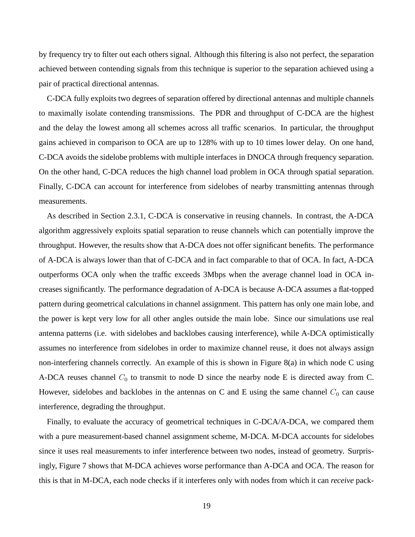by frequency try to filter out each others signal. Although this filtering is also not perfect, the separation achieved between contending signals from this technique is superior to the separation achieved using a pair of practical directional antennas.

C-DCA fully exploits two degrees of separation offered by directional antennas and multiple channels to maximally isolate contending transmissions. The PDR and throughput of C-DCA are the highest and the delay the lowest among all schemes across all traffic scenarios. In particular, the throughput gains achieved in comparison to OCA are up to 128% with up to 10 times lower delay. On one hand, C-DCA avoids the sidelobe problems with multiple interfaces in DNOCA through frequency separation. On the other hand, C-DCA reduces the high channel load problem in OCA through spatial separation. Finally, C-DCA can account for interference from sidelobes of nearby transmitting antennas through measurements.

As described in Section 2.3.1, C-DCA is conservative in reusing channels. In contrast, the A-DCA algorithm aggressively exploits spatial separation to reuse channels which can potentially improve the throughput. However, the results show that A-DCA does not offer significant benefits. The performance of A-DCA is always lower than that of C-DCA and in fact comparable to that of OCA. In fact, A-DCA outperforms OCA only when the traffic exceeds 3Mbps when the average channel load in OCA increases significantly. The performance degradation of A-DCA is because A-DCA assumes a flat-topped pattern during geometrical calculations in channel assignment. This pattern has only one main lobe, and the power is kept very low for all other angles outside the main lobe. Since our simulations use real antenna patterns (i.e. with sidelobes and backlobes causing interference), while A-DCA optimistically assumes no interference from sidelobes in order to maximize channel reuse, it does not always assign non-interfering channels correctly. An example of this is shown in Figure 8(a) in which node C using A-DCA reuses channel  $C_0$  to transmit to node D since the nearby node E is directed away from C. However, sidelobes and backlobes in the antennas on C and E using the same channel  $C_0$  can cause interference, degrading the throughput.

Finally, to evaluate the accuracy of geometrical techniques in C-DCA/A-DCA, we compared them with a pure measurement-based channel assignment scheme, M-DCA. M-DCA accounts for sidelobes since it uses real measurements to infer interference between two nodes, instead of geometry. Surprisingly, Figure 7 shows that M-DCA achieves worse performance than A-DCA and OCA. The reason for this is that in M-DCA, each node checks if it interferes only with nodes from which it can *receive* pack-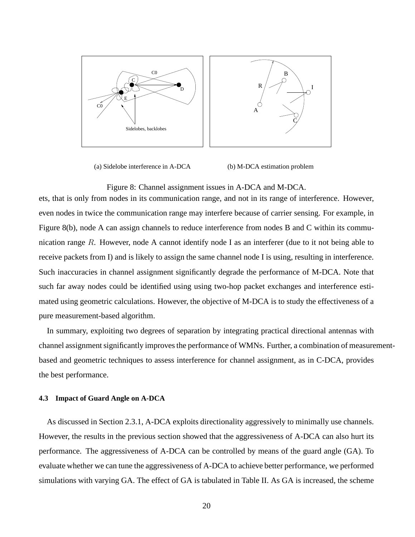

(a) Sidelobe interference in A-DCA

(b) M-DCA estimation problem

#### Figure 8: Channel assignment issues in A-DCA and M-DCA.

ets, that is only from nodes in its communication range, and not in its range of interference. However, even nodes in twice the communication range may interfere because of carrier sensing. For example, in Figure 8(b), node A can assign channels to reduce interference from nodes B and C within its communication range  $R$ . However, node A cannot identify node I as an interferer (due to it not being able to receive packets from I) and is likely to assign the same channel node I is using, resulting in interference. Such inaccuracies in channel assignment significantly degrade the performance of M-DCA. Note that such far away nodes could be identified using using two-hop packet exchanges and interference estimated using geometric calculations. However, the objective of M-DCA is to study the effectiveness of a pure measurement-based algorithm.

In summary, exploiting two degrees of separation by integrating practical directional antennas with channel assignment significantly improves the performance of WMNs. Further, a combination of measurementbased and geometric techniques to assess interference for channel assignment, as in C-DCA, provides the best performance.

#### **4.3 Impact of Guard Angle on A-DCA**

As discussed in Section 2.3.1, A-DCA exploits directionality aggressively to minimally use channels. However, the results in the previous section showed that the aggressiveness of A-DCA can also hurt its performance. The aggressiveness of A-DCA can be controlled by means of the guard angle (GA). To evaluate whether we can tune the aggressiveness of A-DCA to achieve better performance, we performed simulations with varying GA. The effect of GA is tabulated in Table II. As GA is increased, the scheme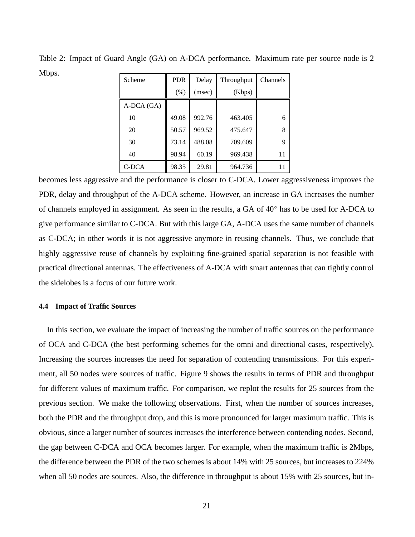| Scheme     | <b>PDR</b> | Delay  | Throughput | Channels |
|------------|------------|--------|------------|----------|
|            | (% )       | (msec) | (Kbps)     |          |
| A-DCA (GA) |            |        |            |          |
| 10         | 49.08      | 992.76 | 463.405    | 6        |
| 20         | 50.57      | 969.52 | 475.647    | 8        |
| 30         | 73.14      | 488.08 | 709.609    | 9        |
| 40         | 98.94      | 60.19  | 969.438    | 11       |
| C-DCA      | 98.35      | 29.81  | 964.736    |          |

Table 2: Impact of Guard Angle (GA) on A-DCA performance. Maximum rate per source node is 2 Mbps.

becomes less aggressive and the performance is closer to C-DCA. Lower aggressiveness improves the PDR, delay and throughput of the A-DCA scheme. However, an increase in GA increases the number of channels employed in assignment. As seen in the results, a GA of 40◦ has to be used for A-DCA to give performance similar to C-DCA. But with this large GA, A-DCA uses the same number of channels as C-DCA; in other words it is not aggressive anymore in reusing channels. Thus, we conclude that highly aggressive reuse of channels by exploiting fine-grained spatial separation is not feasible with practical directional antennas. The effectiveness of A-DCA with smart antennas that can tightly control the sidelobes is a focus of our future work.

#### **4.4 Impact of Traffic Sources**

In this section, we evaluate the impact of increasing the number of traffic sources on the performance of OCA and C-DCA (the best performing schemes for the omni and directional cases, respectively). Increasing the sources increases the need for separation of contending transmissions. For this experiment, all 50 nodes were sources of traffic. Figure 9 shows the results in terms of PDR and throughput for different values of maximum traffic. For comparison, we replot the results for 25 sources from the previous section. We make the following observations. First, when the number of sources increases, both the PDR and the throughput drop, and this is more pronounced for larger maximum traffic. This is obvious, since a larger number of sources increases the interference between contending nodes. Second, the gap between C-DCA and OCA becomes larger. For example, when the maximum traffic is 2Mbps, the difference between the PDR of the two schemes is about 14% with 25 sources, but increases to 224% when all 50 nodes are sources. Also, the difference in throughput is about 15% with 25 sources, but in-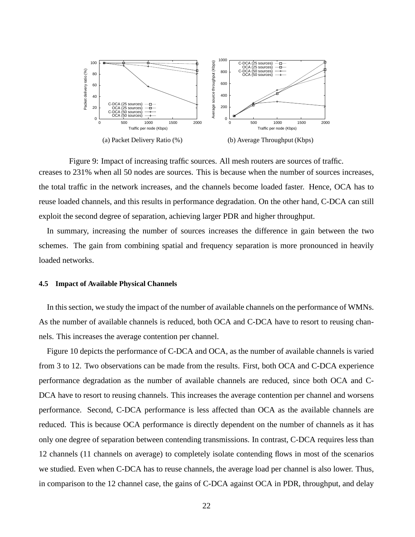

Figure 9: Impact of increasing traffic sources. All mesh routers are sources of traffic. creases to 231% when all 50 nodes are sources. This is because when the number of sources increases, the total traffic in the network increases, and the channels become loaded faster. Hence, OCA has to reuse loaded channels, and this results in performance degradation. On the other hand, C-DCA can still exploit the second degree of separation, achieving larger PDR and higher throughput.

In summary, increasing the number of sources increases the difference in gain between the two schemes. The gain from combining spatial and frequency separation is more pronounced in heavily loaded networks.

### **4.5 Impact of Available Physical Channels**

In this section, we study the impact of the number of available channels on the performance of WMNs. As the number of available channels is reduced, both OCA and C-DCA have to resort to reusing channels. This increases the average contention per channel.

Figure 10 depicts the performance of C-DCA and OCA, as the number of available channels is varied from 3 to 12. Two observations can be made from the results. First, both OCA and C-DCA experience performance degradation as the number of available channels are reduced, since both OCA and C-DCA have to resort to reusing channels. This increases the average contention per channel and worsens performance. Second, C-DCA performance is less affected than OCA as the available channels are reduced. This is because OCA performance is directly dependent on the number of channels as it has only one degree of separation between contending transmissions. In contrast, C-DCA requires less than 12 channels (11 channels on average) to completely isolate contending flows in most of the scenarios we studied. Even when C-DCA has to reuse channels, the average load per channel is also lower. Thus, in comparison to the 12 channel case, the gains of C-DCA against OCA in PDR, throughput, and delay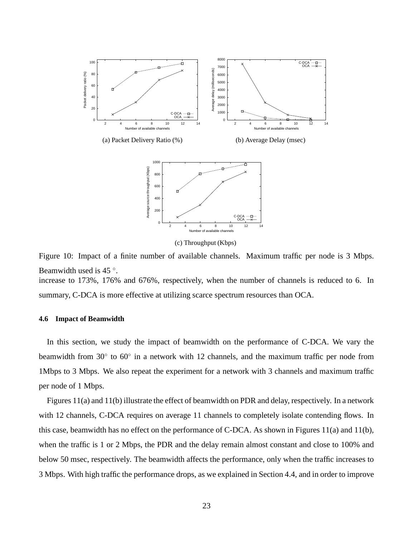

Figure 10: Impact of a finite number of available channels. Maximum traffic per node is 3 Mbps. Beamwidth used is  $45^\circ$ . increase to 173%, 176% and 676%, respectively, when the number of channels is reduced to 6. In

summary, C-DCA is more effective at utilizing scarce spectrum resources than OCA.

#### **4.6 Impact of Beamwidth**

In this section, we study the impact of beamwidth on the performance of C-DCA. We vary the beamwidth from 30 $\degree$  to 60 $\degree$  in a network with 12 channels, and the maximum traffic per node from 1Mbps to 3 Mbps. We also repeat the experiment for a network with 3 channels and maximum traffic per node of 1 Mbps.

Figures 11(a) and 11(b) illustrate the effect of beamwidth on PDR and delay, respectively. In a network with 12 channels, C-DCA requires on average 11 channels to completely isolate contending flows. In this case, beamwidth has no effect on the performance of C-DCA. As shown in Figures 11(a) and 11(b), when the traffic is 1 or 2 Mbps, the PDR and the delay remain almost constant and close to 100% and below 50 msec, respectively. The beamwidth affects the performance, only when the traffic increases to 3 Mbps. With high traffic the performance drops, as we explained in Section 4.4, and in order to improve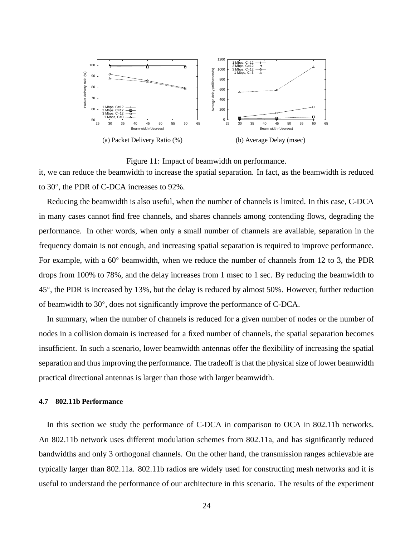

Figure 11: Impact of beamwidth on performance. it, we can reduce the beamwidth to increase the spatial separation. In fact, as the beamwidth is reduced to 30◦ , the PDR of C-DCA increases to 92%.

Reducing the beamwidth is also useful, when the number of channels is limited. In this case, C-DCA in many cases cannot find free channels, and shares channels among contending flows, degrading the performance. In other words, when only a small number of channels are available, separation in the frequency domain is not enough, and increasing spatial separation is required to improve performance. For example, with a 60◦ beamwidth, when we reduce the number of channels from 12 to 3, the PDR drops from 100% to 78%, and the delay increases from 1 msec to 1 sec. By reducing the beamwidth to 45°, the PDR is increased by 13%, but the delay is reduced by almost 50%. However, further reduction of beamwidth to 30◦ , does not significantly improve the performance of C-DCA.

In summary, when the number of channels is reduced for a given number of nodes or the number of nodes in a collision domain is increased for a fixed number of channels, the spatial separation becomes insufficient. In such a scenario, lower beamwidth antennas offer the flexibility of increasing the spatial separation and thus improving the performance. The tradeoff is that the physical size of lower beamwidth practical directional antennas is larger than those with larger beamwidth.

#### **4.7 802.11b Performance**

In this section we study the performance of C-DCA in comparison to OCA in 802.11b networks. An 802.11b network uses different modulation schemes from 802.11a, and has significantly reduced bandwidths and only 3 orthogonal channels. On the other hand, the transmission ranges achievable are typically larger than 802.11a. 802.11b radios are widely used for constructing mesh networks and it is useful to understand the performance of our architecture in this scenario. The results of the experiment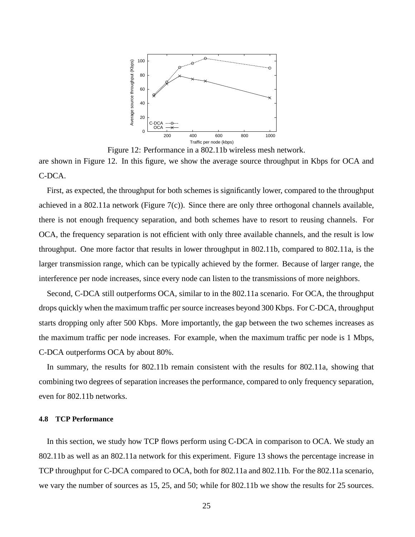

Figure 12: Performance in a 802.11b wireless mesh network.

are shown in Figure 12. In this figure, we show the average source throughput in Kbps for OCA and C-DCA.

First, as expected, the throughput for both schemes is significantly lower, compared to the throughput achieved in a 802.11a network (Figure 7(c)). Since there are only three orthogonal channels available, there is not enough frequency separation, and both schemes have to resort to reusing channels. For OCA, the frequency separation is not efficient with only three available channels, and the result is low throughput. One more factor that results in lower throughput in 802.11b, compared to 802.11a, is the larger transmission range, which can be typically achieved by the former. Because of larger range, the interference per node increases, since every node can listen to the transmissions of more neighbors.

Second, C-DCA still outperforms OCA, similar to in the 802.11a scenario. For OCA, the throughput drops quickly when the maximum traffic per source increases beyond 300 Kbps. For C-DCA, throughput starts dropping only after 500 Kbps. More importantly, the gap between the two schemes increases as the maximum traffic per node increases. For example, when the maximum traffic per node is 1 Mbps, C-DCA outperforms OCA by about 80%.

In summary, the results for 802.11b remain consistent with the results for 802.11a, showing that combining two degrees of separation increases the performance, compared to only frequency separation, even for 802.11b networks.

## **4.8 TCP Performance**

In this section, we study how TCP flows perform using C-DCA in comparison to OCA. We study an 802.11b as well as an 802.11a network for this experiment. Figure 13 shows the percentage increase in TCP throughput for C-DCA compared to OCA, both for 802.11a and 802.11b. For the 802.11a scenario, we vary the number of sources as 15, 25, and 50; while for 802.11b we show the results for 25 sources.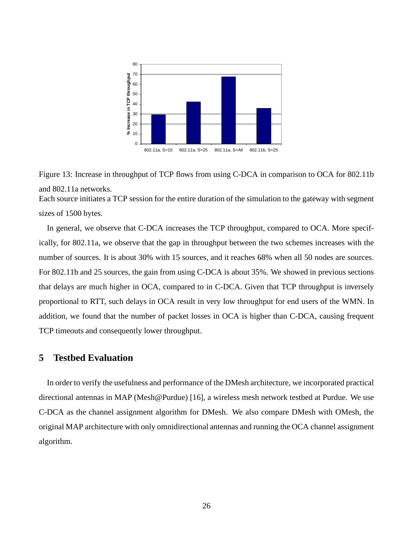

Figure 13: Increase in throughput of TCP flows from using C-DCA in comparison to OCA for 802.11b and 802.11a networks. Each source initiates a TCP session for the entire duration of the simulation to the gateway with segment sizes of 1500 bytes.

In general, we observe that C-DCA increases the TCP throughput, compared to OCA. More specifically, for 802.11a, we observe that the gap in throughput between the two schemes increases with the number of sources. It is about 30% with 15 sources, and it reaches 68% when all 50 nodes are sources. For 802.11b and 25 sources, the gain from using C-DCA is about 35%. We showed in previous sections that delays are much higher in OCA, compared to in C-DCA. Given that TCP throughput is inversely proportional to RTT, such delays in OCA result in very low throughput for end users of the WMN. In addition, we found that the number of packet losses in OCA is higher than C-DCA, causing frequent TCP timeouts and consequently lower throughput.

# **5 Testbed Evaluation**

In order to verify the usefulness and performance of the DMesh architecture, we incorporated practical directional antennas in MAP (Mesh@Purdue) [16], a wireless mesh network testbed at Purdue. We use C-DCA as the channel assignment algorithm for DMesh. We also compare DMesh with OMesh, the original MAP architecture with only omnidirectional antennas and running the OCA channel assignment algorithm.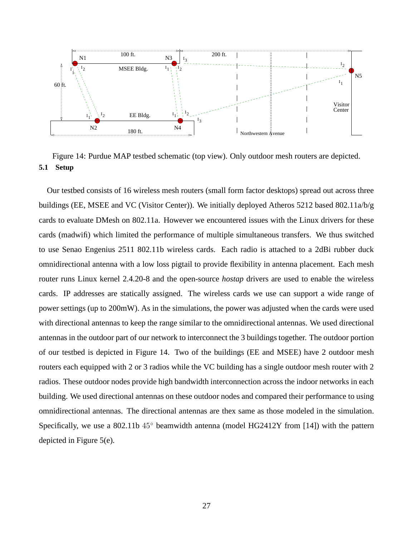

Figure 14: Purdue MAP testbed schematic (top view). Only outdoor mesh routers are depicted. **5.1 Setup**

Our testbed consists of 16 wireless mesh routers (small form factor desktops) spread out across three buildings (EE, MSEE and VC (Visitor Center)). We initially deployed Atheros 5212 based 802.11a/b/g cards to evaluate DMesh on 802.11a. However we encountered issues with the Linux drivers for these cards (madwifi) which limited the performance of multiple simultaneous transfers. We thus switched to use Senao Engenius 2511 802.11b wireless cards. Each radio is attached to a 2dBi rubber duck omnidirectional antenna with a low loss pigtail to provide flexibility in antenna placement. Each mesh router runs Linux kernel 2.4.20-8 and the open-source *hostap* drivers are used to enable the wireless cards. IP addresses are statically assigned. The wireless cards we use can support a wide range of power settings (up to 200mW). As in the simulations, the power was adjusted when the cards were used with directional antennas to keep the range similar to the omnidirectional antennas. We used directional antennas in the outdoor part of our network to interconnect the 3 buildings together. The outdoor portion of our testbed is depicted in Figure 14. Two of the buildings (EE and MSEE) have 2 outdoor mesh routers each equipped with 2 or 3 radios while the VC building has a single outdoor mesh router with 2 radios. These outdoor nodes provide high bandwidth interconnection across the indoor networks in each building. We used directional antennas on these outdoor nodes and compared their performance to using omnidirectional antennas. The directional antennas are thex same as those modeled in the simulation. Specifically, we use a 802.11b  $45^{\circ}$  beamwidth antenna (model HG2412Y from [14]) with the pattern depicted in Figure 5(e).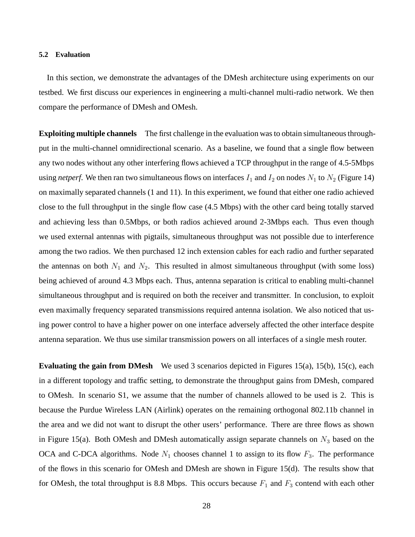#### **5.2 Evaluation**

In this section, we demonstrate the advantages of the DMesh architecture using experiments on our testbed. We first discuss our experiences in engineering a multi-channel multi-radio network. We then compare the performance of DMesh and OMesh.

**Exploiting multiple channels** The first challenge in the evaluation wasto obtain simultaneousthroughput in the multi-channel omnidirectional scenario. As a baseline, we found that a single flow between any two nodes without any other interfering flows achieved a TCP throughput in the range of 4.5-5Mbps using *netperf*. We then ran two simultaneous flows on interfaces  $I_1$  and  $I_2$  on nodes  $N_1$  to  $N_2$  (Figure 14) on maximally separated channels (1 and 11). In this experiment, we found that either one radio achieved close to the full throughput in the single flow case (4.5 Mbps) with the other card being totally starved and achieving less than 0.5Mbps, or both radios achieved around 2-3Mbps each. Thus even though we used external antennas with pigtails, simultaneous throughput was not possible due to interference among the two radios. We then purchased 12 inch extension cables for each radio and further separated the antennas on both  $N_1$  and  $N_2$ . This resulted in almost simultaneous throughput (with some loss) being achieved of around 4.3 Mbps each. Thus, antenna separation is critical to enabling multi-channel simultaneous throughput and is required on both the receiver and transmitter. In conclusion, to exploit even maximally frequency separated transmissions required antenna isolation. We also noticed that using power control to have a higher power on one interface adversely affected the other interface despite antenna separation. We thus use similar transmission powers on all interfaces of a single mesh router.

**Evaluating the gain from DMesh** We used 3 scenarios depicted in Figures 15(a), 15(b), 15(c), each in a different topology and traffic setting, to demonstrate the throughput gains from DMesh, compared to OMesh. In scenario S1, we assume that the number of channels allowed to be used is 2. This is because the Purdue Wireless LAN (Airlink) operates on the remaining orthogonal 802.11b channel in the area and we did not want to disrupt the other users' performance. There are three flows as shown in Figure 15(a). Both OMesh and DMesh automatically assign separate channels on  $N_3$  based on the OCA and C-DCA algorithms. Node  $N_1$  chooses channel 1 to assign to its flow  $F_3$ . The performance of the flows in this scenario for OMesh and DMesh are shown in Figure 15(d). The results show that for OMesh, the total throughput is 8.8 Mbps. This occurs because  $F_1$  and  $F_3$  contend with each other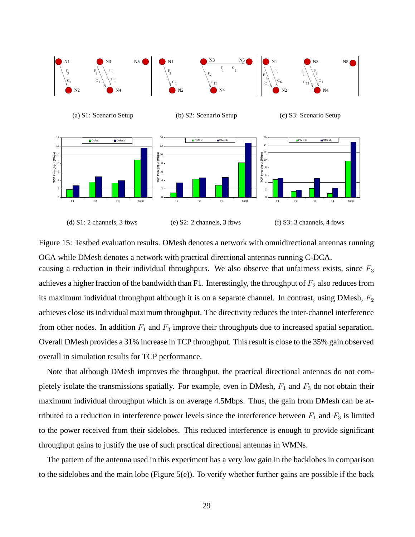

Figure 15: Testbed evaluation results. OMesh denotes a network with omnidirectional antennas running OCA while DMesh denotes a network with practical directional antennas running C-DCA.

causing a reduction in their individual throughputs. We also observe that unfairness exists, since  $F_3$ achieves a higher fraction of the bandwidth than F1. Interestingly, the throughput of  $F_2$  also reduces from its maximum individual throughput although it is on a separate channel. In contrast, using DMesh,  $F_2$ achieves close itsindividual maximum throughput. The directivity reduces the inter-channel interference from other nodes. In addition  $F_1$  and  $F_3$  improve their throughputs due to increased spatial separation. Overall DMesh provides a 31% increase in TCP throughput. Thisresult is close to the 35% gain observed overall in simulation results for TCP performance.

Note that although DMesh improves the throughput, the practical directional antennas do not completely isolate the transmissions spatially. For example, even in DMesh,  $F_1$  and  $F_3$  do not obtain their maximum individual throughput which is on average 4.5Mbps. Thus, the gain from DMesh can be attributed to a reduction in interference power levels since the interference between  $F_1$  and  $F_3$  is limited to the power received from their sidelobes. This reduced interference is enough to provide significant throughput gains to justify the use of such practical directional antennas in WMNs.

The pattern of the antenna used in this experiment has a very low gain in the backlobes in comparison to the sidelobes and the main lobe (Figure 5(e)). To verify whether further gains are possible if the back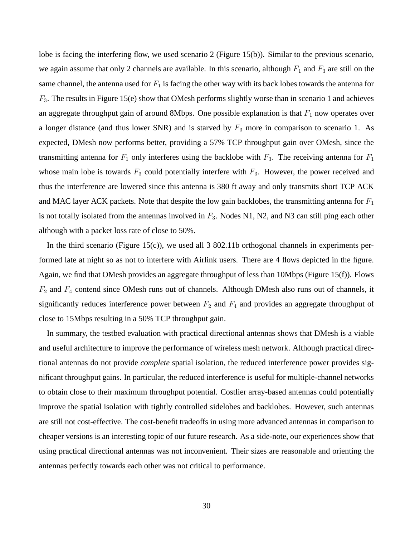lobe is facing the interfering flow, we used scenario 2 (Figure 15(b)). Similar to the previous scenario, we again assume that only 2 channels are available. In this scenario, although  $F_1$  and  $F_3$  are still on the same channel, the antenna used for  $F_1$  is facing the other way with its back lobes towards the antenna for  $F_3$ . The results in Figure 15(e) show that OMesh performs slightly worse than in scenario 1 and achieves an aggregate throughput gain of around 8Mbps. One possible explanation is that  $F_1$  now operates over a longer distance (and thus lower SNR) and is starved by  $F_3$  more in comparison to scenario 1. As expected, DMesh now performs better, providing a 57% TCP throughput gain over OMesh, since the transmitting antenna for  $F_1$  only interferes using the backlobe with  $F_3$ . The receiving antenna for  $F_1$ whose main lobe is towards  $F_3$  could potentially interfere with  $F_3$ . However, the power received and thus the interference are lowered since this antenna is 380 ft away and only transmits short TCP ACK and MAC layer ACK packets. Note that despite the low gain backlobes, the transmitting antenna for  $F_1$ is not totally isolated from the antennas involved in  $F_3$ . Nodes N1, N2, and N3 can still ping each other although with a packet loss rate of close to 50%.

In the third scenario (Figure 15(c)), we used all 3 802.11b orthogonal channels in experiments performed late at night so as not to interfere with Airlink users. There are 4 flows depicted in the figure. Again, we find that OMesh provides an aggregate throughput of less than 10Mbps (Figure 15(f)). Flows  $F_2$  and  $F_4$  contend since OMesh runs out of channels. Although DMesh also runs out of channels, it significantly reduces interference power between  $F_2$  and  $F_4$  and provides an aggregate throughput of close to 15Mbps resulting in a 50% TCP throughput gain.

In summary, the testbed evaluation with practical directional antennas shows that DMesh is a viable and useful architecture to improve the performance of wireless mesh network. Although practical directional antennas do not provide *complete* spatial isolation, the reduced interference power provides significant throughput gains. In particular, the reduced interference is useful for multiple-channel networks to obtain close to their maximum throughput potential. Costlier array-based antennas could potentially improve the spatial isolation with tightly controlled sidelobes and backlobes. However, such antennas are still not cost-effective. The cost-benefit tradeoffs in using more advanced antennas in comparison to cheaper versions is an interesting topic of our future research. As a side-note, our experiences show that using practical directional antennas was not inconvenient. Their sizes are reasonable and orienting the antennas perfectly towards each other was not critical to performance.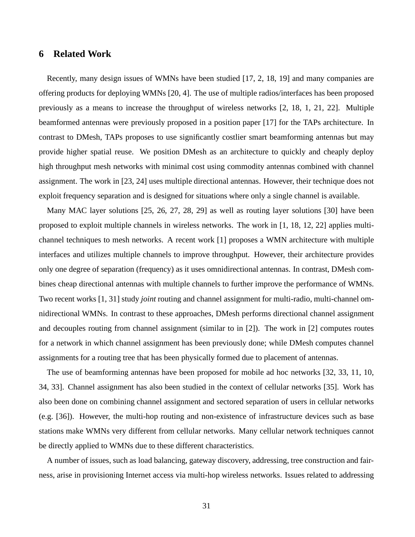# **6 Related Work**

Recently, many design issues of WMNs have been studied [17, 2, 18, 19] and many companies are offering products for deploying WMNs [20, 4]. The use of multiple radios/interfaces has been proposed previously as a means to increase the throughput of wireless networks [2, 18, 1, 21, 22]. Multiple beamformed antennas were previously proposed in a position paper [17] for the TAPs architecture. In contrast to DMesh, TAPs proposes to use significantly costlier smart beamforming antennas but may provide higher spatial reuse. We position DMesh as an architecture to quickly and cheaply deploy high throughput mesh networks with minimal cost using commodity antennas combined with channel assignment. The work in [23, 24] uses multiple directional antennas. However, their technique does not exploit frequency separation and is designed for situations where only a single channel is available.

Many MAC layer solutions [25, 26, 27, 28, 29] as well as routing layer solutions [30] have been proposed to exploit multiple channels in wireless networks. The work in [1, 18, 12, 22] applies multichannel techniques to mesh networks. A recent work [1] proposes a WMN architecture with multiple interfaces and utilizes multiple channels to improve throughput. However, their architecture provides only one degree of separation (frequency) as it uses omnidirectional antennas. In contrast, DMesh combines cheap directional antennas with multiple channels to further improve the performance of WMNs. Two recent works [1, 31] study *joint* routing and channel assignment for multi-radio, multi-channel omnidirectional WMNs. In contrast to these approaches, DMesh performs directional channel assignment and decouples routing from channel assignment (similar to in [2]). The work in [2] computes routes for a network in which channel assignment has been previously done; while DMesh computes channel assignments for a routing tree that has been physically formed due to placement of antennas.

The use of beamforming antennas have been proposed for mobile ad hoc networks [32, 33, 11, 10, 34, 33]. Channel assignment has also been studied in the context of cellular networks [35]. Work has also been done on combining channel assignment and sectored separation of users in cellular networks (e.g. [36]). However, the multi-hop routing and non-existence of infrastructure devices such as base stations make WMNs very different from cellular networks. Many cellular network techniques cannot be directly applied to WMNs due to these different characteristics.

A number of issues, such as load balancing, gateway discovery, addressing, tree construction and fairness, arise in provisioning Internet access via multi-hop wireless networks. Issues related to addressing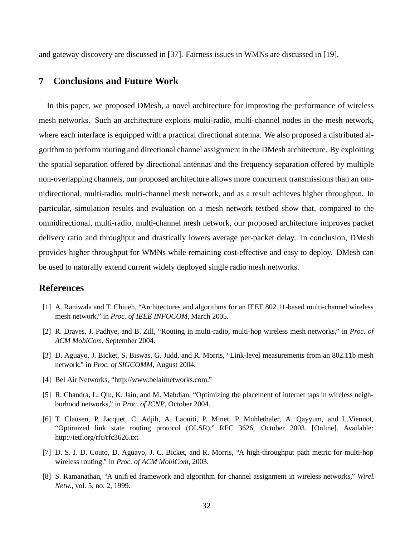and gateway discovery are discussed in [37]. Fairness issues in WMNs are discussed in [19].

# **7 Conclusions and Future Work**

In this paper, we proposed DMesh, a novel architecture for improving the performance of wireless mesh networks. Such an architecture exploits multi-radio, multi-channel nodes in the mesh network, where each interface is equipped with a practical directional antenna. We also proposed a distributed algorithm to perform routing and directional channel assignment in the DMesh architecture. By exploiting the spatial separation offered by directional antennas and the frequency separation offered by multiple non-overlapping channels, our proposed architecture allows more concurrent transmissions than an omnidirectional, multi-radio, multi-channel mesh network, and as a result achieves higher throughput. In particular, simulation results and evaluation on a mesh network testbed show that, compared to the omnidirectional, multi-radio, multi-channel mesh network, our proposed architecture improves packet delivery ratio and throughput and drastically lowers average per-packet delay. In conclusion, DMesh provides higher throughput for WMNs while remaining cost-effective and easy to deploy. DMesh can be used to naturally extend current widely deployed single radio mesh networks.

# **References**

- [1] A. Raniwala and T. Chiueh, "Architectures and algorithms for an IEEE 802.11-based multi-channel wireless mesh network," in *Proc. of IEEE INFOCOM*, March 2005.
- [2] R. Draves, J. Padhye, and B. Zill, "Routing in multi-radio, multi-hop wireless mesh networks," in *Proc. of ACM MobiCom*, September 2004.
- [3] D. Aguayo, J. Bicket, S. Biswas, G. Judd, and R. Morris, "Link-level measurements from an 802.11b mesh network," in *Proc. of SIGCOMM*, August 2004.
- [4] Bel Air Networks, "http://www.belairnetworks.com."
- [5] R. Chandra, L. Qiu, K. Jain, and M. Mahdian, "Optimizing the placement of internet taps in wireless neighborhood networks," in *Proc. of ICNP*, October 2004.
- [6] T. Clausen, P. Jacquet, C. Adjih, A. Laouiti, P. Minet, P. Muhlethaler, A. Qayyum, and L.Viennot, "Optimized link state routing protocol (OLSR)," RFC 3626, October 2003. [Online]. Available: http://ietf.org/rfc/rfc3626.txt
- [7] D. S. J. D. Couto, D. Aguayo, J. C. Bicket, and R. Morris, "A high-throughput path metric for multi-hop wireless routing." in *Proc. of ACM MobiCom*, 2003.
- [8] S. Ramanathan, "A unified framework and algorithm for channel assignment in wireless networks," *Wirel. Netw.*, vol. 5, no. 2, 1999.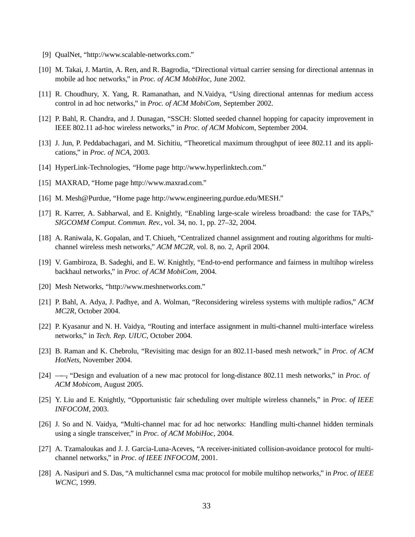- [9] QualNet, "http://www.scalable-networks.com."
- [10] M. Takai, J. Martin, A. Ren, and R. Bagrodia, "Directional virtual carrier sensing for directional antennas in mobile ad hoc networks," in *Proc. of ACM MobiHoc*, June 2002.
- [11] R. Choudhury, X. Yang, R. Ramanathan, and N.Vaidya, "Using directional antennas for medium access control in ad hoc networks," in *Proc. of ACM MobiCom*, September 2002.
- [12] P. Bahl, R. Chandra, and J. Dunagan, "SSCH: Slotted seeded channel hopping for capacity improvement in IEEE 802.11 ad-hoc wireless networks," in *Proc. of ACM Mobicom*, September 2004.
- [13] J. Jun, P. Peddabachagari, and M. Sichitiu, "Theoretical maximum throughput of ieee 802.11 and its applications," in *Proc. of NCA*, 2003.
- [14] HyperLink-Technologies, "Home page http://www.hyperlinktech.com."
- [15] MAXRAD, "Home page http://www.maxrad.com."
- [16] M. Mesh@Purdue, "Home page http://www.engineering.purdue.edu/MESH."
- [17] R. Karrer, A. Sabharwal, and E. Knightly, "Enabling large-scale wireless broadband: the case for TAPs," *SIGCOMM Comput. Commun. Rev.*, vol. 34, no. 1, pp. 27–32, 2004.
- [18] A. Raniwala, K. Gopalan, and T. Chiueh, "Centralized channel assignment and routing algorithms for multichannel wireless mesh networks," *ACM MC2R*, vol. 8, no. 2, April 2004.
- [19] V. Gambiroza, B. Sadeghi, and E. W. Knightly, "End-to-end performance and fairness in multihop wireless backhaul networks," in *Proc. of ACM MobiCom*, 2004.
- [20] Mesh Networks, "http://www.meshnetworks.com."
- [21] P. Bahl, A. Adya, J. Padhye, and A. Wolman, "Reconsidering wireless systems with multiple radios," *ACM MC2R*, October 2004.
- [22] P. Kyasanur and N. H. Vaidya, "Routing and interface assignment in multi-channel multi-interface wireless networks," in *Tech. Rep. UIUC*, October 2004.
- [23] B. Raman and K. Chebrolu, "Revisiting mac design for an 802.11-based mesh network," in *Proc. of ACM HotNets*, November 2004.
- [24] ——, "Design and evaluation of a new mac protocol for long-distance 802.11 mesh networks," in *Proc. of ACM Mobicom*, August 2005.
- [25] Y. Liu and E. Knightly, "Opportunistic fair scheduling over multiple wireless channels," in *Proc. of IEEE INFOCOM*, 2003.
- [26] J. So and N. Vaidya, "Multi-channel mac for ad hoc networks: Handling multi-channel hidden terminals using a single transceiver," in *Proc. of ACM MobiHoc*, 2004.
- [27] A. Tzamaloukas and J. J. Garcia-Luna-Aceves, "A receiver-initiated collision-avoidance protocol for multichannel networks," in *Proc. of IEEE INFOCOM*, 2001.
- [28] A. Nasipuri and S. Das, "A multichannel csma mac protocol for mobile multihop networks," in *Proc. of IEEE WCNC*, 1999.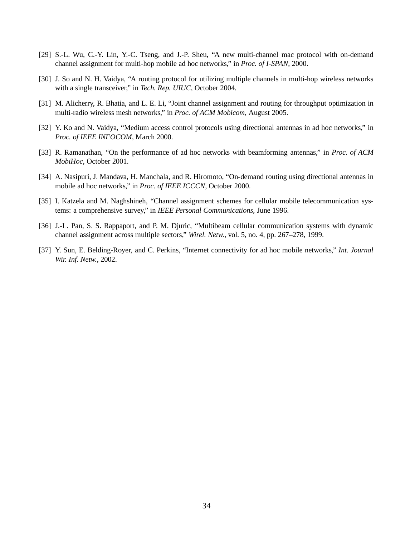- [29] S.-L. Wu, C.-Y. Lin, Y.-C. Tseng, and J.-P. Sheu, "A new multi-channel mac protocol with on-demand channel assignment for multi-hop mobile ad hoc networks," in *Proc. of I-SPAN*, 2000.
- [30] J. So and N. H. Vaidya, "A routing protocol for utilizing multiple channels in multi-hop wireless networks with a single transceiver," in *Tech. Rep. UIUC*, October 2004.
- [31] M. Alicherry, R. Bhatia, and L. E. Li, "Joint channel assignment and routing for throughput optimization in multi-radio wireless mesh networks," in *Proc. of ACM Mobicom*, August 2005.
- [32] Y. Ko and N. Vaidya, "Medium access control protocols using directional antennas in ad hoc networks," in *Proc. of IEEE INFOCOM*, March 2000.
- [33] R. Ramanathan, "On the performance of ad hoc networks with beamforming antennas," in *Proc. of ACM MobiHoc*, October 2001.
- [34] A. Nasipuri, J. Mandava, H. Manchala, and R. Hiromoto, "On-demand routing using directional antennas in mobile ad hoc networks," in *Proc. of IEEE ICCCN*, October 2000.
- [35] I. Katzela and M. Naghshineh, "Channel assignment schemes for cellular mobile telecommunication systems: a comprehensive survey," in *IEEE Personal Communications*, June 1996.
- [36] J.-L. Pan, S. S. Rappaport, and P. M. Djuric, "Multibeam cellular communication systems with dynamic channel assignment across multiple sectors," *Wirel. Netw.*, vol. 5, no. 4, pp. 267–278, 1999.
- [37] Y. Sun, E. Belding-Royer, and C. Perkins, "Internet connectivity for ad hoc mobile networks," *Int. Journal Wir. Inf. Netw.*, 2002.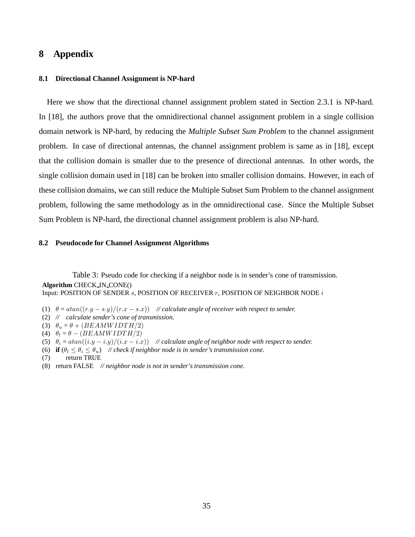# **8 Appendix**

## **8.1 Directional Channel Assignment is NP-hard**

Here we show that the directional channel assignment problem stated in Section 2.3.1 is NP-hard. In [18], the authors prove that the omnidirectional channel assignment problem in a single collision domain network is NP-hard, by reducing the *Multiple Subset Sum Problem* to the channel assignment problem. In case of directional antennas, the channel assignment problem is same as in [18], except that the collision domain is smaller due to the presence of directional antennas. In other words, the single collision domain used in [18] can be broken into smaller collision domains. However, in each of these collision domains, we can still reduce the Multiple Subset Sum Problem to the channel assignment problem, following the same methodology as in the omnidirectional case. Since the Multiple Subset Sum Problem is NP-hard, the directional channel assignment problem is also NP-hard.

#### **8.2 Pseudocode for Channel Assignment Algorithms**

Table 3: Pseudo code for checking if a neighbor node is in sender's cone of transmission. **Algorithm** CHECK IN CONE() Input: POSITION OF SENDER  $s$ , POSITION OF RECEIVER  $r$ , POSITION OF NEIGHBOR NODE  $i$ 

- (1)  $\theta = \frac{atan((r.y s.y)/(r.x s.x))}{\theta}$  *// calculate angle of receiver with respect to sender.*
- (2) *// calculate sender's cone of transmission.*
- (3)  $\theta_u = \theta + (BEAMWIDTH/2)$
- (4)  $\theta_l = \theta (BEAMWIDTH/2)$
- (5)  $\theta_i = \frac{atan((i.y i.y)/(i.x i.x))}{\sqrt{calate}}$  *// calculate angle of neighbor node with respect to sender.*
- (6) **if**  $(\theta_l \leq \theta_i \leq \theta_u)$  // *check if neighbor node is in sender's transmission cone.*
- (7) return TRUE
- (8) return FALSE *// neighbor node is not in sender's transmission cone.*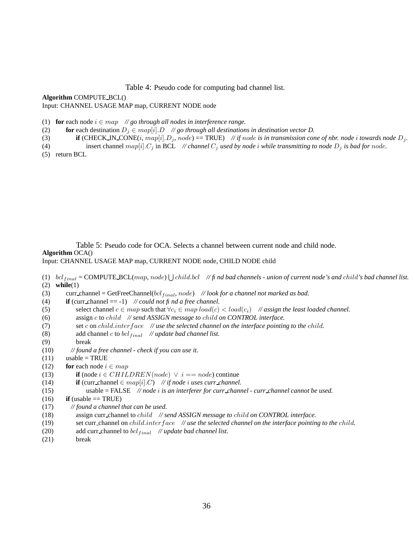Table 4: Pseudo code for computing bad channel list.

**Algorithm** COMPUTE BCL() Input: CHANNEL USAGE MAP map, CURRENT NODE node

- (1) **for** each node  $i \in map$  // *go through all nodes in interference range.*
- (2) **for** each destination  $D_j \in map[i].D$  // *go through all destinations in destination vector D.*
- (3) **if** (CHECK\_IN\_CONE(i, map[i]. $D_j$ , node) == TRUE) // *if* node *is in transmission cone of nbr. node i towards node*  $D_j$ .
- (4) insert channel  $map[i].C_j$  in BCL *// channel*  $C_j$  *used by node i* while transmitting to node  $D_j$  is bad for node.

(5) return BCL

Table 5: Pseudo code for OCA. Selects a channel between current node and child node.

#### **Algorithm** OCA()

Input: CHANNEL USAGE MAP map, CURRENT NODE node, CHILD NODE child

(1)  $\frac{bc}{final} = \text{COMPUTE-BCL}(map, node) \cup \text{child,bcl}$  // *fi* nd bad channels - union of current node's and child's bad channel list. (2) **while**(1)

- (3) curr channel = GetFreeChannel(bcl  $_{final}$ , node) // look for a channel not marked as bad.<br>(4) **if** (curr channel = -1) // *could not fi nd a free channel*. **if** (curr channel  $== -1$ ) // *could not fi nd a free channel.*
- (5) select channel  $c \in map$  such that  $\forall c_i \in map \, load(c_i) < load(c_i)$  // *assign the least loaded channel.*
- (6) assign c to child *// send ASSIGN message to* child *on CONTROL interface.*
- (7) set c on child.interface *// use the selected channel on the interface pointing to the* child*.*
- (8) add channel *c* to *bcl*<sub>final</sub> *// update bad channel list.*
- (9) break
- (10) *// found a free channel - check if you can use it.*
- $(11)$  usable = TRUE
- (12) **for** each node  $i \in map$
- (13) **if** (node  $i \in CHILDREN(node) \lor i == node$ ) continue
- (14) **if** (curr\_channel  $\in$   $map[i].C$ ) // *if node i uses curr\_channel.*
- (15) usable = FALSE *// node* i *is an interferer for curr channel - curr channel cannot be used.*
- $(16)$  **if** (usable == TRUE)
- (17) *// found a channel that can be used.*
- (18) assign curr channel to child *// send ASSIGN message to* child *on CONTROL interface.*
- (19) set curr channel on child.interface *// use the selected channel on the interface pointing to the* child*.*
- (20) add curr channel to  $bcl_{final}$  // *update bad channel list.*
- (21) break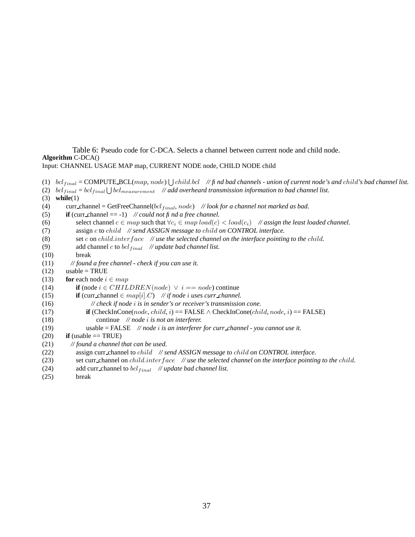Table 6: Pseudo code for C-DCA. Selects a channel between current node and child node. **Algorithm** C-DCA() Input: CHANNEL USAGE MAP map, CURRENT NODE node, CHILD NODE child

```
(1) \frac{bc}{final} = \text{COMPUTE-BCL}(map, node) \cup \text{child,bcl} // fi nd bad channels - union of current node's and child's bad channel list.
(2) \delta c l_{final} = \delta c l_{final} \bigcup \delta c l_{measurable} // add overheard transmission information to bad channel list.
(3) while(1)
(4) curr channel = GetFreeChannel(bcl<sub>final</sub>, node) // look for a channel not marked as bad.
(5) if (curr channel == -1) // could not fi nd a free channel.
(6) select channel c \in map such that \forall c_i \in map \, load(c_i) < load(c_i) // assign the least loaded channel.
(7) assign c to child // send ASSIGN message to child on CONTROL interface.
(8) set c on child.interface // use the selected channel on the interface pointing to the child.
(9) add channel c to bcl_{final} // update bad channel list.
(10) break
(11) // found a free channel - check if you can use it.
(12) usable = TRUE
(13) for each node i \in map(14) if (node i \in CHILDREN(node) \lor i == node) continue
(15) if (curr_channel \in map[i].C) // if node i uses curr_channel.
(16) // check if node i is in sender's or receiver's transmission cone.
(17) if (CheckInCone(node, child, i) == FALSE \land CheckInCone(child, node, i) == FALSE)
(18) continue // node i is not an interferer.
(19) usable = FALSE // node i is an interferer for curr channel - you cannot use it.
(20) if (usable == TRUE)
(21) // found a channel that can be used.
(22) assign curr channel to child // send ASSIGN message to child on CONTROL interface.
(23) set curr channel on child.interface // use the selected channel on the interface pointing to the child.
(24) add curr_channel to \frac{bc}{final} // update bad channel list.
```
(25) break